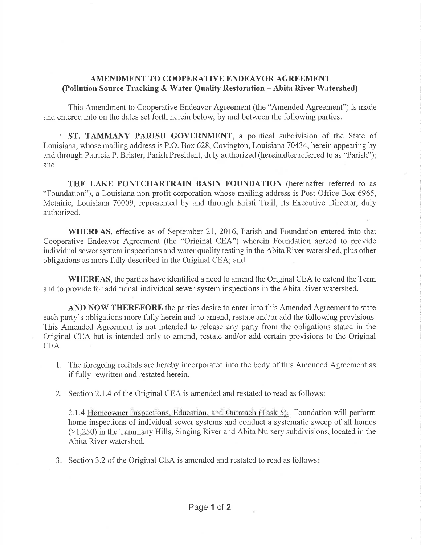## AMENDMENT TO COOPERATIVE ENDEAVOR AGREEMENT (Pollution Source Tracking & Water Quality Restoration - Abita River Watershed)

This Amendment to Cooperative Endeavor Agreement (the "Amended Agreement") is made and entered into on the dates set forth herein below, by and between the following parties:

' ST. TAMMANY PARISH GOVERNMENT, a political subdivision of the State of Louisiana, whose mailing address is P.O. Box 628, Covington, Louisiana 70434, herein appearing by and through Patricia P. Brister, Parish President, duly authorized (hereinafter referred to as "Parish"); and

THE LAKE PONTCHARTRAIN BASIN FOUNDATION (hereinafter referred to as "Foundation"), a Louisiana non-profit corporation whose mailing address is Post Office Box 6965, Metairie, Louisiana 70009, represented by and through Kristi Trail, its Executive Director, duly authorized.

WHEREAS, effective as of September 21, 2016, Parish and Foundation entered into that Cooperative Endeavor Agreement (the "Original CEA") wherein Foundation agreed to provide individual sewer system inspections and water quality testing in the Abita River watershed, plus other obligations as more fully described in the Original CEA; and

WHEREAS, the parties have identified a need to amend the Original CEA to extend the Term and to provide for additional individual sewer system inspections in the Abita River watershed.

AND NOW THEREFORE the parties desire to enter into this Amended Agreement to state each party's obligations more fully herein and to amend, restate and/or add the following provisions. This Amended Agreement is not intended to release any party from the obligations stated in the Original CEA but is intended only to amend, restate and/or add certain provisions to the Original CEA.

- 1. The foregoing recitals are hereby incorporated into the body of this Amended Agreement as if fully rewritten and restated herein.
- 2. Section 2.L4 of the Original CEA is amended and restated to read as follows:

2.1.4 Homeowner Inspections. Education. and Outreach (Task 5). Foundation will perform home inspections of individual sewer systems and conduct a systematic sweep of all homes (>1,250) in the Tammany Hills, Singing River and Abita Nursery subdivisions, located in the Abita River watershed.

3. Section 3.2 of the Original CEA is amended and restated to read as follows